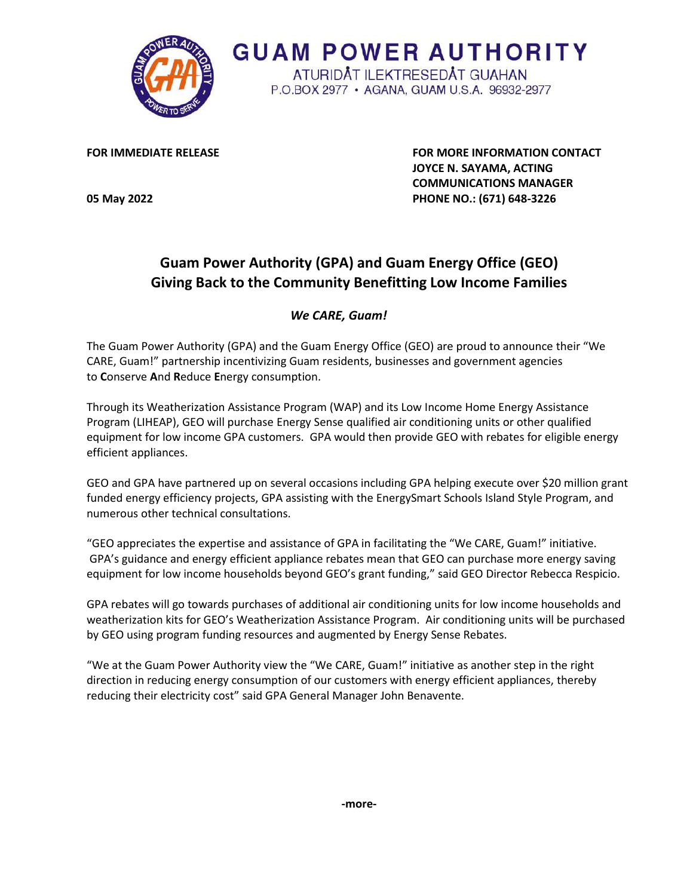

**GUAM POWER AUTHORITY** ATURIDÂT ILEKTRESEDÂT GUAHAN P.O.BOX 2977 · AGANA, GUAM U.S.A. 96932-2977

**FOR IMMEDIATE RELEASE FOR MORE INFORMATION CONTACT JOYCE N. SAYAMA, ACTING COMMUNICATIONS MANAGER 05 May 2022 PHONE NO.: (671) 648-3226** 

## **Guam Power Authority (GPA) and Guam Energy Office (GEO) Giving Back to the Community Benefitting Low Income Families**

## *We CARE, Guam!*

The Guam Power Authority (GPA) and the Guam Energy Office (GEO) are proud to announce their "We CARE, Guam!" partnership incentivizing Guam residents, businesses and government agencies to **C**onserve **A**nd **R**educe **E**nergy consumption.

Through its Weatherization Assistance Program (WAP) and its Low Income Home Energy Assistance Program (LIHEAP), GEO will purchase Energy Sense qualified air conditioning units or other qualified equipment for low income GPA customers. GPA would then provide GEO with rebates for eligible energy efficient appliances.

GEO and GPA have partnered up on several occasions including GPA helping execute over \$20 million grant funded energy efficiency projects, GPA assisting with the EnergySmart Schools Island Style Program, and numerous other technical consultations.

"GEO appreciates the expertise and assistance of GPA in facilitating the "We CARE, Guam!" initiative. GPA's guidance and energy efficient appliance rebates mean that GEO can purchase more energy saving equipment for low income households beyond GEO's grant funding," said GEO Director Rebecca Respicio.

GPA rebates will go towards purchases of additional air conditioning units for low income households and weatherization kits for GEO's Weatherization Assistance Program. Air conditioning units will be purchased by GEO using program funding resources and augmented by Energy Sense Rebates.

"We at the Guam Power Authority view the "We CARE, Guam!" initiative as another step in the right direction in reducing energy consumption of our customers with energy efficient appliances, thereby reducing their electricity cost" said GPA General Manager John Benavente.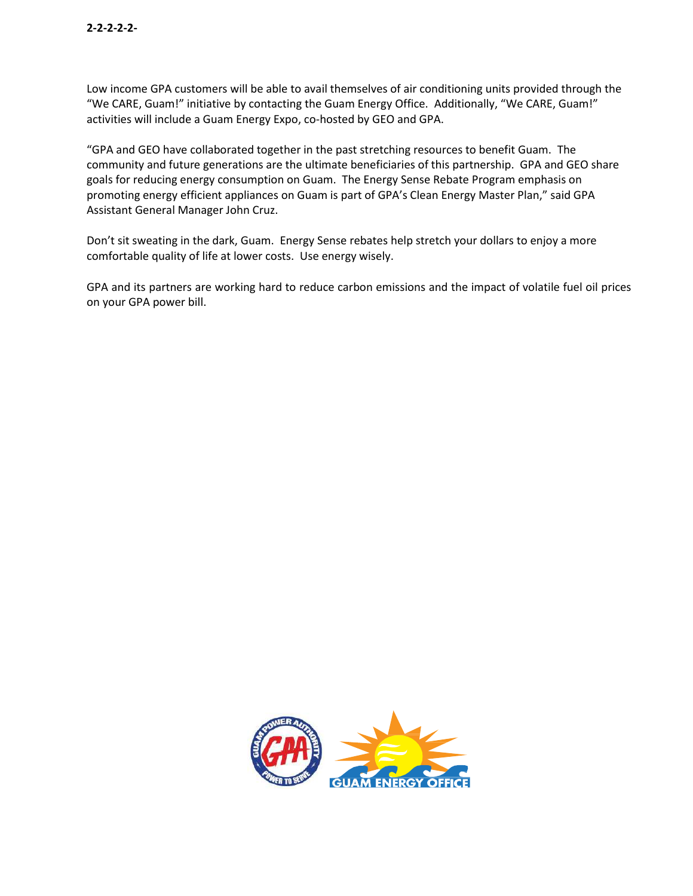Low income GPA customers will be able to avail themselves of air conditioning units provided through the "We CARE, Guam!" initiative by contacting the Guam Energy Office. Additionally, "We CARE, Guam!" activities will include a Guam Energy Expo, co-hosted by GEO and GPA.

"GPA and GEO have collaborated together in the past stretching resources to benefit Guam. The community and future generations are the ultimate beneficiaries of this partnership. GPA and GEO share goals for reducing energy consumption on Guam. The Energy Sense Rebate Program emphasis on promoting energy efficient appliances on Guam is part of GPA's Clean Energy Master Plan," said GPA Assistant General Manager John Cruz.

Don't sit sweating in the dark, Guam. Energy Sense rebates help stretch your dollars to enjoy a more comfortable quality of life at lower costs. Use energy wisely.

GPA and its partners are working hard to reduce carbon emissions and the impact of volatile fuel oil prices on your GPA power bill.